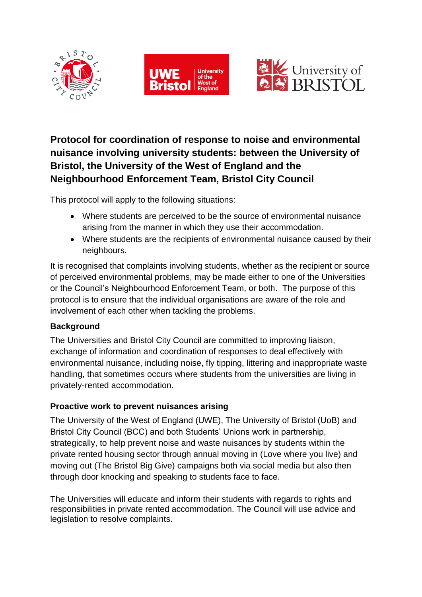





# **Protocol for coordination of response to noise and environmental nuisance involving university students: between the University of Bristol, the University of the West of England and the Neighbourhood Enforcement Team, Bristol City Council**

This protocol will apply to the following situations:

- Where students are perceived to be the source of environmental nuisance arising from the manner in which they use their accommodation.
- Where students are the recipients of environmental nuisance caused by their neighbours.

It is recognised that complaints involving students, whether as the recipient or source of perceived environmental problems, may be made either to one of the Universities or the Council's Neighbourhood Enforcement Team, or both. The purpose of this protocol is to ensure that the individual organisations are aware of the role and involvement of each other when tackling the problems.

## **Background**

The Universities and Bristol City Council are committed to improving liaison, exchange of information and coordination of responses to deal effectively with environmental nuisance, including noise, fly tipping, littering and inappropriate waste handling, that sometimes occurs where students from the universities are living in privately-rented accommodation.

## **Proactive work to prevent nuisances arising**

The University of the West of England (UWE), The University of Bristol (UoB) and Bristol City Council (BCC) and both Students' Unions work in partnership, strategically, to help prevent noise and waste nuisances by students within the private rented housing sector through annual moving in (Love where you live) and moving out (The Bristol Big Give) campaigns both via social media but also then through door knocking and speaking to students face to face.

The Universities will educate and inform their students with regards to rights and responsibilities in private rented accommodation. The Council will use advice and legislation to resolve complaints.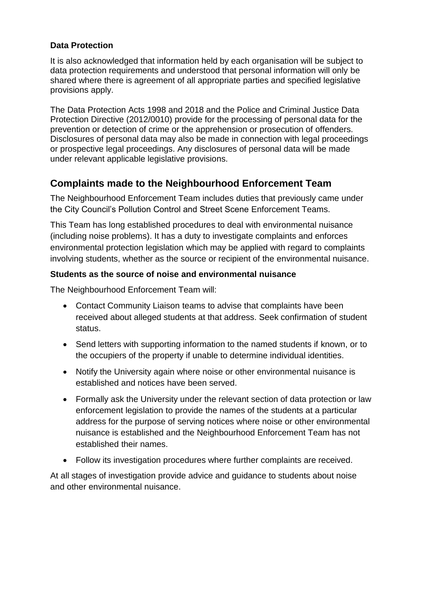### **Data Protection**

It is also acknowledged that information held by each organisation will be subject to data protection requirements and understood that personal information will only be shared where there is agreement of all appropriate parties and specified legislative provisions apply.

The Data Protection Acts 1998 and 2018 and the Police and Criminal Justice Data Protection Directive (2012/0010) provide for the processing of personal data for the prevention or detection of crime or the apprehension or prosecution of offenders. Disclosures of personal data may also be made in connection with legal proceedings or prospective legal proceedings. Any disclosures of personal data will be made under relevant applicable legislative provisions.

# **Complaints made to the Neighbourhood Enforcement Team**

The Neighbourhood Enforcement Team includes duties that previously came under the City Council's Pollution Control and Street Scene Enforcement Teams.

This Team has long established procedures to deal with environmental nuisance (including noise problems). It has a duty to investigate complaints and enforces environmental protection legislation which may be applied with regard to complaints involving students, whether as the source or recipient of the environmental nuisance.

## **Students as the source of noise and environmental nuisance**

The Neighbourhood Enforcement Team will:

- Contact Community Liaison teams to advise that complaints have been received about alleged students at that address. Seek confirmation of student status.
- Send letters with supporting information to the named students if known, or to the occupiers of the property if unable to determine individual identities.
- Notify the University again where noise or other environmental nuisance is established and notices have been served.
- Formally ask the University under the relevant section of data protection or law enforcement legislation to provide the names of the students at a particular address for the purpose of serving notices where noise or other environmental nuisance is established and the Neighbourhood Enforcement Team has not established their names.
- Follow its investigation procedures where further complaints are received.

At all stages of investigation provide advice and guidance to students about noise and other environmental nuisance.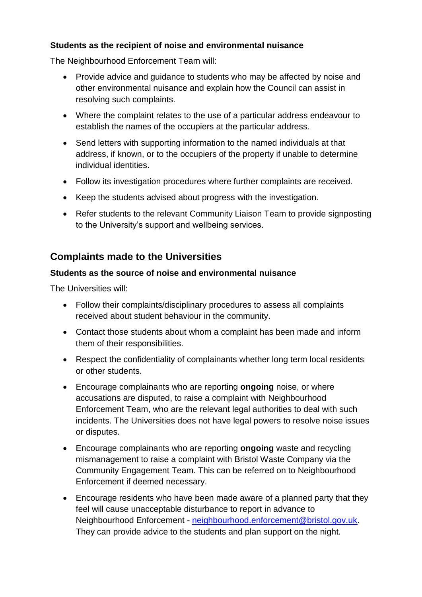## **Students as the recipient of noise and environmental nuisance**

The Neighbourhood Enforcement Team will:

- Provide advice and guidance to students who may be affected by noise and other environmental nuisance and explain how the Council can assist in resolving such complaints.
- Where the complaint relates to the use of a particular address endeavour to establish the names of the occupiers at the particular address.
- Send letters with supporting information to the named individuals at that address, if known, or to the occupiers of the property if unable to determine individual identities.
- Follow its investigation procedures where further complaints are received.
- Keep the students advised about progress with the investigation.
- Refer students to the relevant Community Liaison Team to provide signposting to the University's support and wellbeing services.

## **Complaints made to the Universities**

## **Students as the source of noise and environmental nuisance**

The Universities will:

- Follow their complaints/disciplinary procedures to assess all complaints received about student behaviour in the community.
- Contact those students about whom a complaint has been made and inform them of their responsibilities.
- Respect the confidentiality of complainants whether long term local residents or other students.
- Encourage complainants who are reporting **ongoing** noise, or where accusations are disputed, to raise a complaint with Neighbourhood Enforcement Team, who are the relevant legal authorities to deal with such incidents. The Universities does not have legal powers to resolve noise issues or disputes.
- Encourage complainants who are reporting **ongoing** waste and recycling mismanagement to raise a complaint with Bristol Waste Company via the Community Engagement Team. This can be referred on to Neighbourhood Enforcement if deemed necessary.
- Encourage residents who have been made aware of a planned party that they feel will cause unacceptable disturbance to report in advance to Neighbourhood Enforcement - [neighbourhood.enforcement@bristol.gov.uk.](mailto:neighbourhood.enforcement@bristol.gov.uk) They can provide advice to the students and plan support on the night.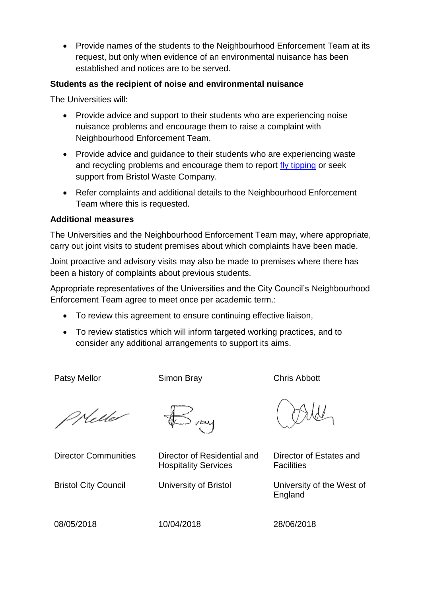• Provide names of the students to the Neighbourhood Enforcement Team at its request, but only when evidence of an environmental nuisance has been established and notices are to be served.

### **Students as the recipient of noise and environmental nuisance**

The Universities will:

- Provide advice and support to their students who are experiencing noise nuisance problems and encourage them to raise a complaint with Neighbourhood Enforcement Team.
- Provide advice and guidance to their students who are experiencing waste and recycling problems and encourage them to report [fly tipping](https://www.bristol.gov.uk/streets-travel/flytipping) or seek support from Bristol Waste Company.
- Refer complaints and additional details to the Neighbourhood Enforcement Team where this is requested.

#### **Additional measures**

The Universities and the Neighbourhood Enforcement Team may, where appropriate, carry out joint visits to student premises about which complaints have been made.

Joint proactive and advisory visits may also be made to premises where there has been a history of complaints about previous students.

Appropriate representatives of the Universities and the City Council's Neighbourhood Enforcement Team agree to meet once per academic term.:

- To review this agreement to ensure continuing effective liaison,
- To review statistics which will inform targeted working practices, and to consider any additional arrangements to support its aims.

Patsy Mellor Simon Bray Chris Abbott

PHelle

vay

Director Communities Director of Residential and Hospitality Services

Director of Estates and **Facilities** 

Bristol City Council University of Bristol University of the West of England

08/05/2018 10/04/2018 28/06/2018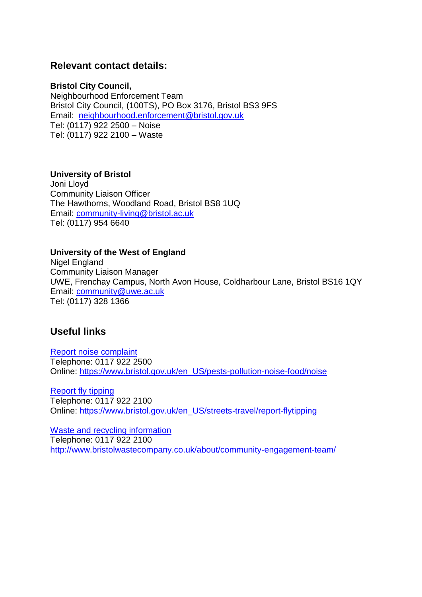## **Relevant contact details:**

#### **Bristol City Council,**

Neighbourhood Enforcement Team Bristol City Council, (100TS), PO Box 3176, Bristol BS3 9FS Email: [neighbourhood.enforcement@bristol.gov.uk](mailto:neighbourhood.enforcement@bristol.gov.uk) Tel: (0117) 922 2500 – Noise Tel: (0117) 922 2100 – Waste

#### **University of Bristol**

Joni Lloyd Community Liaison Officer The Hawthorns, Woodland Road, Bristol BS8 1UQ Email: [community-living@bristol.ac.uk](mailto:community-living@bristol.ac.uk) Tel: (0117) 954 6640

#### **University of the West of England**

Nigel England Community Liaison Manager UWE, Frenchay Campus, North Avon House, Coldharbour Lane, Bristol BS16 1QY Email: [community@uwe.ac.uk](mailto:community@uwe.ac.uk) Tel: (0117) 328 1366

## **Useful links**

[Report noise complaint](https://www.bristol.gov.uk/pests-pollution-noise-food/noise) Telephone: 0117 922 2500 Online: [https://www.bristol.gov.uk/en\\_US/pests-pollution-noise-food/noise](https://www.bristol.gov.uk/en_US/pests-pollution-noise-food/noise)

[Report fly tipping](https://www.bristol.gov.uk/streets-travel/flytipping) Telephone: 0117 922 2100 Online: [https://www.bristol.gov.uk/en\\_US/streets-travel/report-flytipping](https://www.bristol.gov.uk/en_US/streets-travel/report-flytipping)

[Waste and recycling information](https://www.bristol.gov.uk/bins-recycling) Telephone: 0117 922 2100 <http://www.bristolwastecompany.co.uk/about/community-engagement-team/>